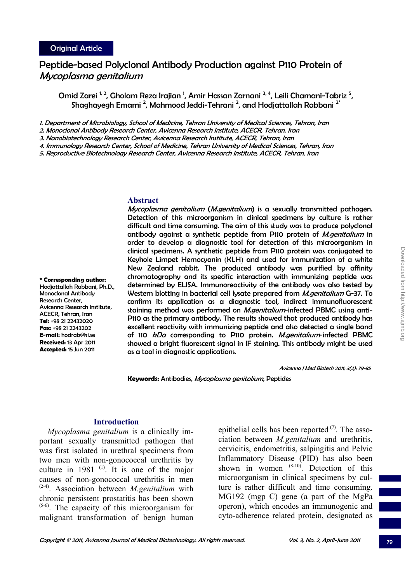**\* Corresponding author:**  Hodjattallah Rabbani, Ph.D., Monoclonal Antibody Research Center,

Avicenna Research Institute, ACECR, Tehran, Iran **Tel:** +98 21 22432020 **Fax:** +98 21 2243202 **E-mail:** hodrab@ki.se **Received:** 13 Apr 2011 **Accepted:** 15 Jun 2011

# Peptide-based Polyclonal Antibody Production against P110 Protein of Mycoplasma genitalium

Omid Zarei <sup>1, 2</sup>, Gholam Reza Irajian <sup>1</sup>, Amir Hassan Zarnani <sup>3, 4</sup>, Leili Chamani-Tabriz <sup>5</sup>, Shaghayegh Emami<sup>2</sup>, Mahmood Jeddi-Tehrani<sup>2</sup>, and Hodjattallah Rabbani<sup>2</sup>

1. Department of Microbiology, School of Medicine, Tehran University of Medical Sciences, Tehran, Iran

2. Monoclonal Antibody Research Center, Avicenna Research Institute, ACECR, Tehran, Iran

3. Nanobiotechnology Research Center, Avicenna Research Institute, ACECR, Tehran, Iran

4. Immunology Research Center, School of Medicine, Tehran University of Medical Sciences, Tehran, Iran

5. Reproductive Biotechnology Research Center, Avicenna Research Institute, ACECR, Tehran, Iran

#### **Abstract**

Mycoplasma genitalium (M.genitalium) is a sexually transmitted pathogen. Detection of this microorganism in clinical specimens by culture is rather difficult and time consuming. The aim of this study was to produce polyclonal antibody against a synthetic peptide from P110 protein of *M.genitalium* in order to develop a diagnostic tool for detection of this microorganism in clinical specimens. A synthetic peptide from P110 protein was conjugated to Keyhole Limpet Hemocyanin (KLH) and used for immunization of a white New Zealand rabbit. The produced antibody was purified by affinity chromatography and its specific interaction with immunizing peptide was determined by ELISA. Immunoreactivity of the antibody was also tested by Western blotting in bacterial cell lysate prepared from *M.genitalium* G-37. To confirm its application as a diagnostic tool, indirect immunofluorescent staining method was performed on *M.genitalium*-infected PBMC using anti-P110 as the primary antibody. The results showed that produced antibody has excellent reactivity with immunizing peptide and also detected a single band of 110 kDa corresponding to P110 protein. M.genitalium-infected PBMC showed a bright fluorescent signal in IF staining. This antibody might be used as a tool in diagnostic applications.

Avicenna J Med Biotech 2011; 3(2): 79-85

**Keywords:** Antibodies, Mycoplasma genitalium, Peptides

### **Introduction**

*Mycoplasma genitalium* is a clinically important sexually transmitted pathogen that was first isolated in urethral specimens from two men with non-gonococcal urethritis by culture in 1981 $(1)$ . It is one of the major causes of non-gonococcal urethritis in men (2-4). Association between *M.genitalium* with chronic persistent prostatitis has been shown (5-6). The capacity of this microorganism for malignant transformation of benign human epithelial cells has been reported  $(7)$ . The association between *M.genitalium* and urethritis, cervicitis, endometritis, salpingitis and Pelvic Inflammatory Disease (PID) has also been shown in women  $(8-10)$ . Detection of this microorganism in clinical specimens by culture is rather difficult and time consuming. MG192 (mgp C) gene (a part of the MgPa operon), which encodes an immunogenic and cyto-adherence related protein, designated as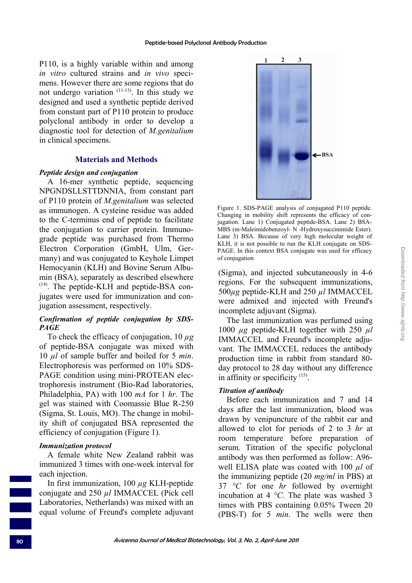P110, is a highly variable within and among *in vitro* cultured strains and *in vivo* specimens. However there are some regions that do not undergo variation  $(11-13)$ . In this study we designed and used a synthetic peptide derived from constant part of P110 protein to produce polyclonal antibody in order to develop a diagnostic tool for detection of *M.genitalium*  in clinical specimens.

### **Materials and Methods**

### *Peptide design and conjugation*

A 16-mer synthetic peptide, sequencing NPGNDSLLSTTDNNIA, from constant part of P110 protein of *M.genitalium* was selected as immunogen. A cysteine residue was added to the C-terminus end of peptide to facilitate the conjugation to carrier protein. Immunograde peptide was purchased from Thermo Electron Corporation (GmbH, Ulm, Germany) and was conjugated to Keyhole Limpet Hemocyanin (KLH) and Bovine Serum Albumin (BSA), separately as described elsewhere  $(14)$ . The peptide-KLH and peptide-BSA conjugates were used for immunization and conjugation assessment, respectively.

### *Confirmation of peptide conjugation by SDS-PAGE*

To check the efficacy of conjugation, 10 *µg* of peptide-BSA conjugate was mixed with 10 *µl* of sample buffer and boiled for 5 *min*. Electrophoresis was performed on 10% SDS-PAGE condition using mini-PROTEAN electrophoresis instrument (Bio-Rad laboratories, Philadelphia, PA) with 100 *mA* for 1 *hr*. The gel was stained with Coomassie Blue R-250 (Sigma, St. Louis, MO). The change in mobility shift of conjugated BSA represented the efficiency of conjugation (Figure 1).

# *Immunization protocol*

A female white New Zealand rabbit was immunized 3 times with one-week interval for each injection.

In first immunization, 100 *µg* KLH-peptide conjugate and 250 *µl* IMMACCEL (Pick cell Laboratories, Netherlands) was mixed with an equal volume of Freund's complete adjuvant



Figure 1. SDS-PAGE analysis of conjugated P110 peptide. Changing in mobility shift represents the efficacy of conjugation. Lane 1) Conjugated peptide-BSA. Lane 2) BSA-MBS (m-Maleimidobenzoyl- N -Hydroxysuccinimide Ester). Lane 3) BSA. Because of very high molecular weight of KLH, it is not possible to run the KLH conjugate on SDS-PAGE. In this context BSA conjugate was used for efficacy of conjugation

(Sigma), and injected subcutaneously in 4-6 regions. For the subsequent immunizations, 500*µg* peptide-KLH and 250 *µl* IMMACCEL were admixed and injected with Freund's incomplete adjuvant (Sigma).

The last immunization was perfumed using 1000 *µg* peptide-KLH together with 250 *µl* IMMACCEL and Freund's incomplete adjuvant. The IMMACCEL reduces the antibody production time in rabbit from standard 80 day protocol to 28 day without any difference in affinity or specificity  $(15)$ .

# *Titration of antibody*

Before each immunization and 7 and 14 days after the last immunization, blood was drawn by venipuncture of the rabbit ear and allowed to clot for periods of 2 to 3 *hr* at room temperature before preparation of serum. Titration of the specific polyclonal antibody was then performed as follow: A96 well ELISA plate was coated with 100 *µl* of the immunizing peptide (20 *mg/ml* in PBS) at 37 *°C* for one *hr* followed by overnight incubation at 4 *°C*. The plate was washed 3 times with PBS containing 0.05% Tween 20 (PBS-T) for 5 *min*. The wells were then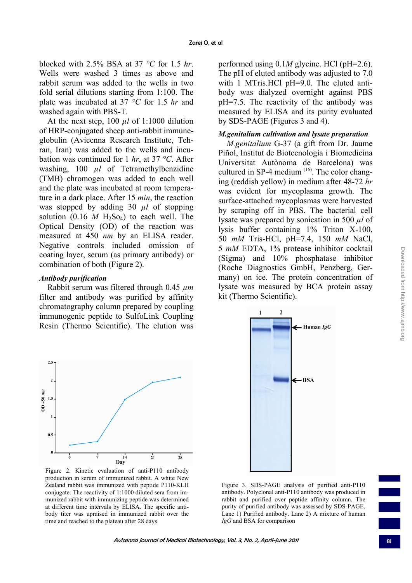blocked with 2.5% BSA at 37 *°C* for 1.5 *hr*. Wells were washed 3 times as above and rabbit serum was added to the wells in two fold serial dilutions starting from 1:100. The plate was incubated at 37 *°C* for 1.5 *hr* and washed again with PBS-T.

At the next step,  $100 \mu l$  of 1:1000 dilution of HRP-conjugated sheep anti-rabbit immuneglobulin (Avicenna Research Institute, Tehran, Iran) was added to the wells and incubation was continued for 1 *hr*, at 37 *°C*. After washing, 100 *µl* of Tetramethylbenzidine (TMB) chromogen was added to each well and the plate was incubated at room temperature in a dark place. After 15 *min*, the reaction was stopped by adding 30  $\mu$ l of stopping solution  $(0.16 \text{ M H}_2\text{So}_4)$  to each well. The Optical Density (OD) of the reaction was measured at 450 *nm* by an ELISA reader. Negative controls included omission of coating layer, serum (as primary antibody) or combination of both (Figure 2).

# *Antibody purification*

Rabbit serum was filtered through 0.45 *µm* filter and antibody was purified by affinity chromatography column prepared by coupling immunogenic peptide to SulfoLink Coupling Resin (Thermo Scientific). The elution was

performed using 0.1*M* glycine. HCl (pH=2.6). The pH of eluted antibody was adjusted to 7.0 with 1 MTris.HCl pH=9.0. The eluted antibody was dialyzed overnight against PBS pH=7.5. The reactivity of the antibody was measured by ELISA and its purity evaluated by SDS-PAGE (Figures 3 and 4).

# *M.genitalium cultivation and lysate preparation*

*M.genitalium* G-37 (a gift from Dr. Jaume Piñol, Institut de Biotecnología i Biomedicina Universitat Autònoma de Barcelona) was cultured in SP-4 medium (16). The color changing (reddish yellow) in medium after 48-72 *hr* was evident for mycoplasma growth. The surface-attached mycoplasmas were harvested by scraping off in PBS. The bacterial cell lysate was prepared by sonication in 500 *µl* of lysis buffer containing 1% Triton X-100, 50 *mM* Tris-HCl, pH=7.4, 150 *mM* NaCl, 5 *mM* EDTA, 1% protease inhibitor cocktail (Sigma) and 10% phosphatase inhibitor (Roche Diagnostics GmbH, Penzberg, Germany) on ice. The protein concentration of lysate was measured by BCA protein assay kit (Thermo Scientific).



Figure 2. Kinetic evaluation of anti-P110 antibody production in serum of immunized rabbit. A white New Zealand rabbit was immunized with peptide P110-KLH conjugate. The reactivity of 1:1000 diluted sera from immunized rabbit with immunizing peptide was determined at different time intervals by ELISA. The specific antibody titer was upraised in immunized rabbit over the time and reached to the plateau after 28 days



Figure 3. SDS-PAGE analysis of purified anti-P110 antibody. Polyclonal anti-P110 antibody was produced in rabbit and purified over peptide affinity column. The purity of purified antibody was assessed by SDS-PAGE. Lane 1) Purified antibody. Lane 2) A mixture of human *IgG* and BSA for comparison

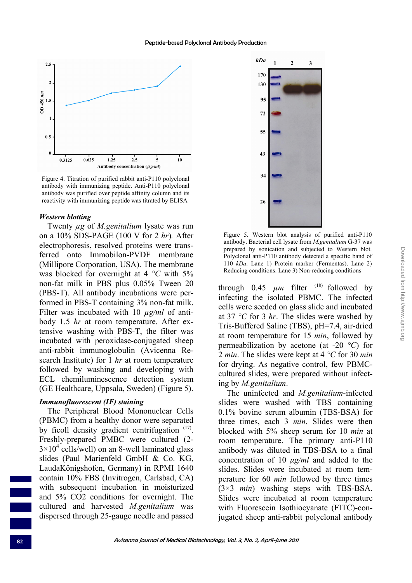

Figure 4. Titration of purified rabbit anti-P110 polyclonal antibody with immunizing peptide. Anti-P110 polyclonal antibody was purified over peptide affinity column and its reactivity with immunizing peptide was titrated by ELISA

#### *Western blotting*

Twenty *µg* of *M.genitalium* lysate was run on a 10% SDS-PAGE (100 V for 2 *hr*)*.* After electrophoresis, resolved proteins were transferred onto Immobilon-PVDF membrane (Millipore Corporation, USA). The membrane was blocked for overnight at 4 *°C* with 5% non-fat milk in PBS plus 0.05% Tween 20 (PBS-T). All antibody incubations were performed in PBS-T containing 3% non-fat milk. Filter was incubated with 10  $\mu$ g/ml of antibody 1.5 *hr* at room temperature. After extensive washing with PBS-T, the filter was incubated with peroxidase-conjugated sheep anti-rabbit immunoglobulin (Avicenna Research Institute) for 1 *hr* at room temperature followed by washing and developing with ECL chemiluminescence detection system (GE Healthcare, Uppsala, Sweden) (Figure 5).

#### *Immunofluorescent (IF) staining*

The Peripheral Blood Mononuclear Cells (PBMC) from a healthy donor were separated by ficoll density gradient centrifugation (17). Freshly-prepared PMBC were cultured (2-  $3 \times 10^4$  cells/well) on an 8-well laminated glass slides (Paul Marienfeld GmbH & Co. KG, LaudaKönigshofen, Germany) in RPMI 1640 contain 10% FBS (Invitrogen, Carlsbad, CA) with subsequent incubation in moisturized and 5% CO2 conditions for overnight. The cultured and harvested *M.genitalium* was dispersed through 25-gauge needle and passed



Figure 5. Western blot analysis of purified anti-P110 antibody. Bacterial cell lysate from *M.genitalium* G-37 was prepared by sonication and subjected to Western blot. Polyclonal anti-P110 antibody detected a specific band of 110 *kDa*. Lane 1) Protein marker (Fermentas). Lane 2) Reducing conditions. Lane 3) Non-reducing conditions

through  $0.45 \mu m$  filter <sup>(18)</sup> followed by infecting the isolated PBMC. The infected cells were seeded on glass slide and incubated at 37 *°C* for 3 *hr*. The slides were washed by Tris-Buffered Saline (TBS), pH=7.4, air-dried at room temperature for 15 *min*, followed by permeabilization by acetone (at -20 *°C*) for 2 *min*. The slides were kept at 4 *°C* for 30 *min* for drying. As negative control, few PBMCcultured slides, were prepared without infecting by *M.genitalium*.

The uninfected and *M.genitalium*-infected slides were washed with TBS containing 0.1% bovine serum albumin (TBS-BSA) for three times, each 3 *min*. Slides were then blocked with 5% sheep serum for 10 *min* at room temperature. The primary anti-P110 antibody was diluted in TBS-BSA to a final concentration of 10 *μg/ml* and added to the slides. Slides were incubated at room temperature for 60 *min* followed by three times (3×3 *min*) washing steps with TBS-BSA. Slides were incubated at room temperature with Fluorescein Isothiocyanate (FITC)-conjugated sheep anti-rabbit polyclonal antibody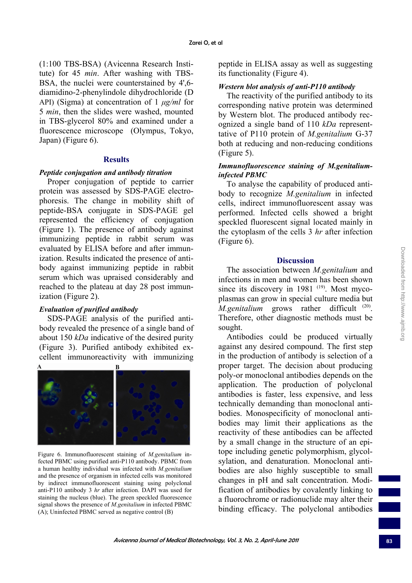(1:100 TBS-BSA) (Avicenna Research Institute) for 45 *min*. After washing with TBS-BSA, the nuclei were counterstained by 4',6 diamidino-2-phenylindole dihydrochloride (D API) (Sigma) at concentration of 1 *μg/ml* for 5 *min*, then the slides were washed, mounted in TBS-glycerol 80% and examined under a fluorescence microscope (Olympus, Tokyo, Japan) (Figure 6).

#### **Results**

#### *Peptide conjugation and antibody titration*

Proper conjugation of peptide to carrier protein was assessed by SDS-PAGE electrophoresis. The change in mobility shift of peptide-BSA conjugate in SDS-PAGE gel represented the efficiency of conjugation (Figure 1). The presence of antibody against immunizing peptide in rabbit serum was evaluated by ELISA before and after immunization. Results indicated the presence of antibody against immunizing peptide in rabbit serum which was upraised considerably and reached to the plateau at day 28 post immunization (Figure 2).

### *Evaluation of purified antibody*

SDS-PAGE analysis of the purified antibody revealed the presence of a single band of about 150 *kDa* indicative of the desired purity (Figure 3). Purified antibody exhibited excellent immunoreactivity with immunizing



Figure 6. Immunofluorescent staining of *M.genitalium* infected PBMC using purified anti-P110 antibody. PBMC from a human healthy individual was infected with *M.genitalium* and the presence of organism in infected cells was monitored by indirect immunofluorescent staining using polyclonal anti-P110 antibody 3 *hr* after infection. DAPI was used for staining the nucleus (blue). The green speckled fluorescence signal shows the presence of *M.genitalium* in infected PBMC (A); Uninfected PBMC served as negative control (B)

peptide in ELISA assay as well as suggesting its functionality (Figure 4).

### *Western blot analysis of anti-P110 antibody*

The reactivity of the purified antibody to its corresponding native protein was determined by Western blot. The produced antibody recognized a single band of 110 *kDa* representtative of P110 protein of *M.genitalium* G-37 both at reducing and non-reducing conditions (Figure 5).

### *Immunofluorescence staining of M.genitaliuminfected PBMC*

To analyse the capability of produced antibody to recognize *M.genitalium* in infected cells, indirect immunofluorescent assay was performed. Infected cells showed a bright speckled fluorescent signal located mainly in the cytoplasm of the cells 3 *hr* after infection (Figure 6).

#### **Discussion**

The association between *M.genitalium* and infections in men and women has been shown since its discovery in  $1981$ <sup>(19)</sup>. Most mycoplasmas can grow in special culture media but *M.genitalium* grows rather difficult <sup>(20)</sup>. Therefore, other diagnostic methods must be sought.

Antibodies could be produced virtually against any desired compound. The first step in the production of antibody is selection of a proper target. The decision about producing poly-or monoclonal antibodies depends on the application. The production of polyclonal antibodies is faster, less expensive, and less technically demanding than monoclonal antibodies. Monospecificity of monoclonal antibodies may limit their applications as the reactivity of these antibodies can be affected by a small change in the structure of an epitope including genetic polymorphism, glycolsylation, and denaturation. Monoclonal antibodies are also highly susceptible to small changes in pH and salt concentration. Modification of antibodies by covalently linking to a fluorochrome or radionuclide may alter their binding efficacy. The polyclonal antibodies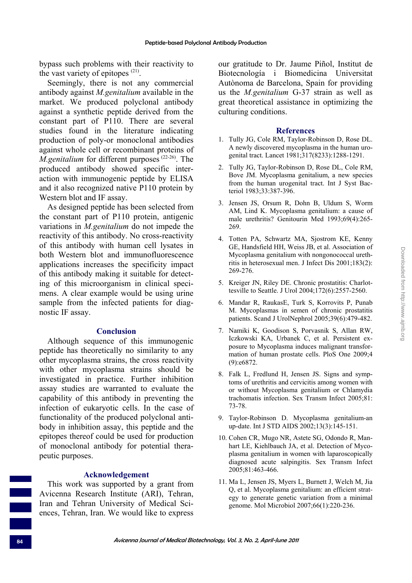bypass such problems with their reactivity to the vast variety of epitopes  $(21)$ .

Seemingly, there is not any commercial antibody against *M.genitalium* available in the market. We produced polyclonal antibody against a synthetic peptide derived from the constant part of P110. There are several studies found in the literature indicating production of poly-or monoclonal antibodies against whole cell or recombinant proteins of *M.genitalium* for different purposes<sup>(22-26)</sup>. The produced antibody showed specific interaction with immunogenic peptide by ELISA and it also recognized native P110 protein by Western blot and IF assay.

As designed peptide has been selected from the constant part of P110 protein, antigenic variations in *M.genitalium* do not impede the reactivity of this antibody. No cross-reactivity of this antibody with human cell lysates in both Western blot and immunofluorescence applications increases the specificity impact of this antibody making it suitable for detecting of this microorganism in clinical specimens. A clear example would be using urine sample from the infected patients for diagnostic IF assay.

#### **Conclusion**

Although sequence of this immunogenic peptide has theoretically no similarity to any other mycoplasma strains, the cross reactivity with other mycoplasma strains should be investigated in practice. Further inhibition assay studies are warranted to evaluate the capability of this antibody in preventing the infection of eukaryotic cells. In the case of functionality of the produced polyclonal antibody in inhibition assay, this peptide and the epitopes thereof could be used for production of monoclonal antibody for potential therapeutic purposes.

### **Acknowledgement**

This work was supported by a grant from Avicenna Research Institute (ARI), Tehran, Iran and Tehran University of Medical Sciences, Tehran, Iran. We would like to express our gratitude to Dr. Jaume Piñol, Institut de Biotecnología i Biomedicina Universitat Autònoma de Barcelona, Spain for providing us the *M.genitalium* G-37 strain as well as great theoretical assistance in optimizing the culturing conditions.

#### **References**

- 1. Tully JG, Cole RM, Taylor-Robinson D, Rose DL. A newly discovered mycoplasma in the human urogenital tract. Lancet 1981;317(8233):1288-1291.
- 2. Tully JG, Taylor-Robinson D, Rose DL, Cole RM, Bove JM. Mycoplasma genitalium, a new species from the human urogenital tract. Int J Syst Bacteriol 1983;33:387-396.
- 3. Jensen JS, Orsum R, Dohn B, Uldum S, Worm AM, Lind K. Mycoplasma genitalium: a cause of male urethritis? Genitourin Med 1993;69(4):265- 269.
- 4. Totten PA, Schwartz MA, Sjostrom KE, Kenny GE, Handsfield HH, Weiss JB, et al. Association of Mycoplasma genitalium with nongonococcal urethritis in heterosexual men. J Infect Dis 2001;183(2): 269-276.
- 5. Kreiger JN, Riley DE. Chronic prostatitis: Charlottesville to Seattle. J Urol 2004;172(6):2557-2560.
- 6. Mandar R, RaukasE, Turk S, Korrovits P, Punab M. Mycoplasmas in semen of chronic prostatitis patients. Scand J UrolNephrol 2005;39(6):479-482.
- 7. Namiki K, Goodison S, Porvasnik S, Allan RW, Iczkowski KA, Urbanek C, et al. Persistent exposure to Mycoplasma induces malignant transformation of human prostate cells. PloS One 2009;4 (9):e6872.
- 8. Falk L, Fredlund H, Jensen JS. Signs and symptoms of urethritis and cervicitis among women with or without Mycoplasma genitalium or Chlamydia trachomatis infection. Sex Transm Infect 2005;81: 73-78.
- 9. Taylor-Robinson D. Mycoplasma genitalium-an up-date. Int J STD AIDS 2002;13(3):145-151.
- 10. Cohen CR, Mugo NR, Astete SG, Odondo R, Manhart LE, Kiehlbauch JA, et al. Detection of Mycoplasma genitalium in women with laparoscopically diagnosed acute salpingitis. Sex Transm Infect 2005;81:463-466.
- 11. Ma L, Jensen JS, Myers L, Burnett J, Welch M, Jia Q, et al. Mycoplasma genitalium: an efficient strategy to generate genetic variation from a minimal genome. Mol Microbiol 2007;66(1):220-236.